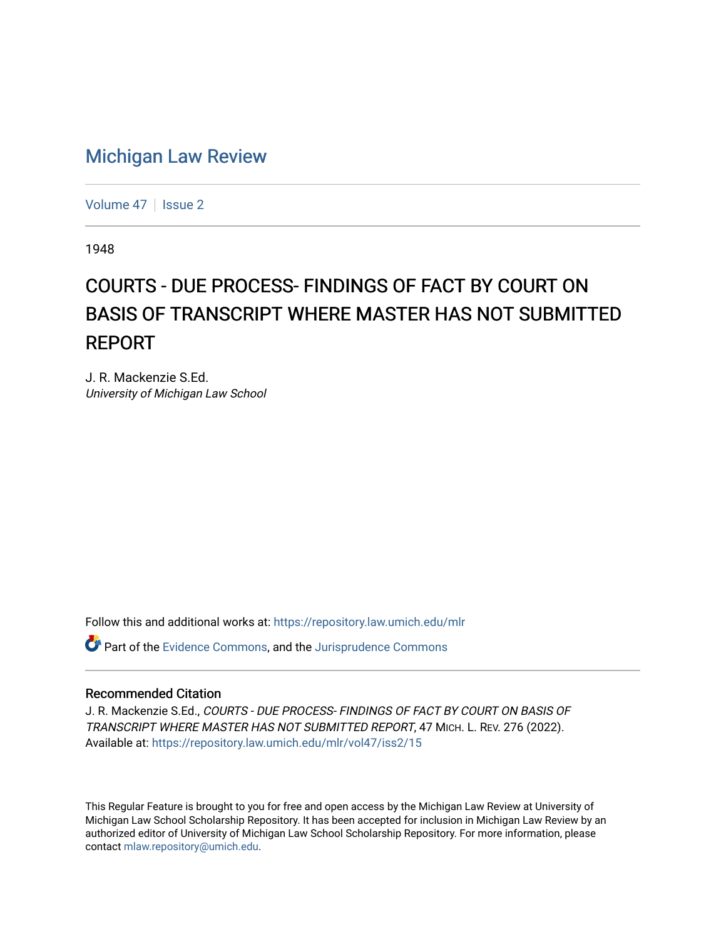## [Michigan Law Review](https://repository.law.umich.edu/mlr)

[Volume 47](https://repository.law.umich.edu/mlr/vol47) | [Issue 2](https://repository.law.umich.edu/mlr/vol47/iss2)

1948

## COURTS - DUE PROCESS- FINDINGS OF FACT BY COURT ON BASIS OF TRANSCRIPT WHERE MASTER HAS NOT SUBMITTED REPORT

J. R. Mackenzie S.Ed. University of Michigan Law School

Follow this and additional works at: [https://repository.law.umich.edu/mlr](https://repository.law.umich.edu/mlr?utm_source=repository.law.umich.edu%2Fmlr%2Fvol47%2Fiss2%2F15&utm_medium=PDF&utm_campaign=PDFCoverPages) 

Part of the [Evidence Commons,](http://network.bepress.com/hgg/discipline/601?utm_source=repository.law.umich.edu%2Fmlr%2Fvol47%2Fiss2%2F15&utm_medium=PDF&utm_campaign=PDFCoverPages) and the [Jurisprudence Commons](http://network.bepress.com/hgg/discipline/610?utm_source=repository.law.umich.edu%2Fmlr%2Fvol47%2Fiss2%2F15&utm_medium=PDF&utm_campaign=PDFCoverPages) 

## Recommended Citation

J. R. Mackenzie S.Ed., COURTS - DUE PROCESS- FINDINGS OF FACT BY COURT ON BASIS OF TRANSCRIPT WHERE MASTER HAS NOT SUBMITTED REPORT, 47 MICH. L. REV. 276 (2022). Available at: [https://repository.law.umich.edu/mlr/vol47/iss2/15](https://repository.law.umich.edu/mlr/vol47/iss2/15?utm_source=repository.law.umich.edu%2Fmlr%2Fvol47%2Fiss2%2F15&utm_medium=PDF&utm_campaign=PDFCoverPages) 

This Regular Feature is brought to you for free and open access by the Michigan Law Review at University of Michigan Law School Scholarship Repository. It has been accepted for inclusion in Michigan Law Review by an authorized editor of University of Michigan Law School Scholarship Repository. For more information, please contact [mlaw.repository@umich.edu](mailto:mlaw.repository@umich.edu).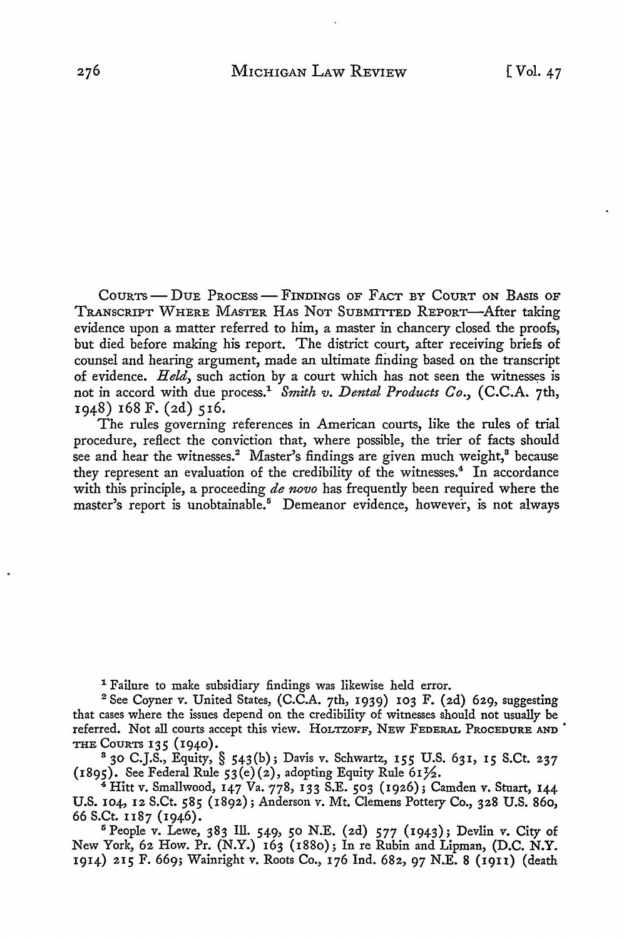CouRTS - DuE PRocEss - FINDINGS oF FACT BY COURT ON BASIS OF TRANSCRIPT WHERE MASTER HAs NoT SUBMITTED REPORT-After taking evidence upon a matter referred to him, a master in chancery closed the proofs, but died before making his report. The district court, after receiving briefs of counsel and hearing argument, made an ultimate finding based on the transcript of evidence. *Held,* such action by a court which has not seen the witnesses is not in accord with due process.1 *Smith v. Dental Products Co.,* (C.C.A. 7th, 1948) 168 F. (2d) 516.

The rules governing references in American courts, like the rules of trial procedure, reflect the conviction that, where possible, the trier of facts should see and hear the witnesses.<sup>2</sup> Master's findings are given much weight,<sup>8</sup> because they represent an evaluation of the credibility of the witnesses.<sup>4</sup> In accordance with this principle, a proceeding *de nova* has frequently been required where the master's report is unobtainable.<sup>5</sup> Demeanor evidence, however, is not always

1 Failure to make subsidiary findings was likewise held error.

<sup>2</sup> See Coyner v. United States, (C.C.A. 7th, 1939) 103 F. (2d) 629, suggesting that cases where the issues depend on the credibility of witnesses should not usually be referred. Not all courts accept this view. HoLTZOFF, NEw FEDERAL PROCEDURE AND· THE COURTS 135 (1940).

<sup>8</sup>30 C.J.S., Equity, § 543(b); Davis v. Schwartz, 155 U.S. 631, 15 S.Ct. 237 (1895). See Federal Rule 53(e)(2), adopting Equity Rule 611/2.

<sup>4</sup>Hitt v. Smallwood, 147 Va. 778, 133 S.E. 503 (1926); Camden v. Stuart, 144 U.S. 104, 12 S.Ct. 585 (1892); Anderson v. Mt. Clemens Pottery Co., 328 U.S. 860, 66 S.Ct. n87 (1946).

<sup>5</sup> People v. Lewe, 383 Ill. 549, 50 N.E. (2d) 577 (1943); Devlin v. City of New York, 62 How. Pr. (N.Y.) 163 (1880); In re Rubin and Lipman, (D.C. N.Y. 1914) 215 F. 669; Wainright v. Roots Co., 176 Ind. 682, 97 N.E. 8 (19u) (death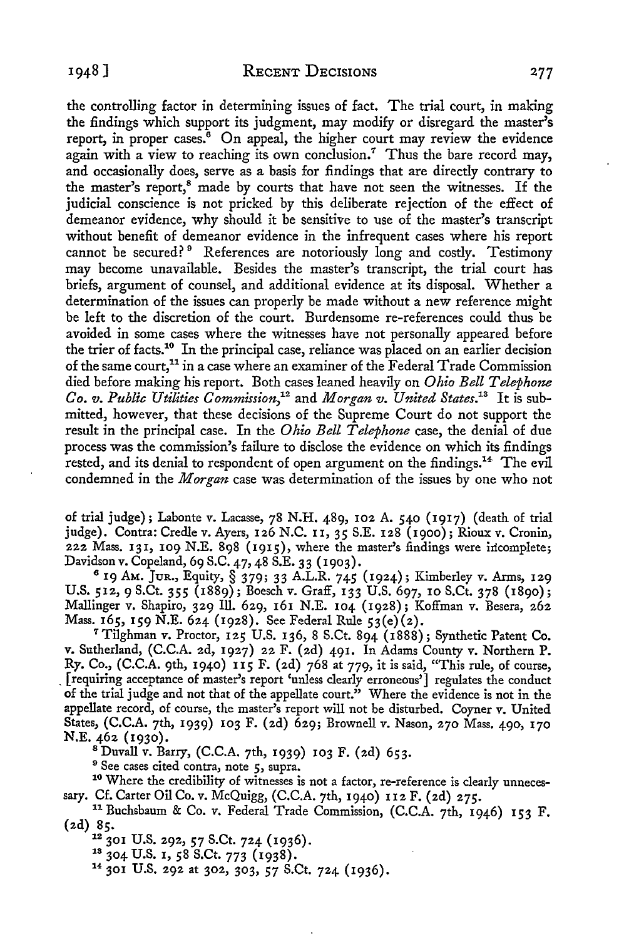the controlling factor in determining issues of fact. The trial court, in making the findings which support its judgment, may modify or disregard the master's report, in proper cases.<sup>6</sup> On appeal, the higher court may review the evidence again with a view to reaching its own conclusion.<sup>7</sup> Thus the bare record may, and occasionally does, serve as a basis for findings that are directly contrary to the master's report,<sup>8</sup> made by courts that have not seen the witnesses. If the judicial conscience is not pricked by this deliberate rejection of the effect of demeanor evidence, why should it be sensitive to use of the master's transcript without benefit of demeanor evidence in the infrequent cases where his report cannot be secured?<sup>9</sup> References are notoriously long and costly. Testimony may become unavailable. Besides the master's transcript, the trial court has briefs, argument of counsel, and additional evidence at its disposal. Whether a determination of the issues can properly be made without a new reference might be left to the discretion of the court. Burdensome re-references could thus be avoided in some cases where the witnesses have not personally appeared before the trier of facts.10 In the principal case, reliance was placed on an earlier decision of the same court, 11 in a case where an examiner of the Federal Trade Commission died before making his report. Both cases leaned heavily on *Ohio Bell Telephone Co. v. Public Utilities Commission,12* and *Morgan v. United States.13* It is submitted, however, that these decisions of the Supreme Court do not support the result in the principal case. In the *Ohio Bell Telephone* case, the denial of due process was the commission's failure to disclose the evidence on which its findings rested, and its denial to respondent of open argument on the findings.<sup>14</sup> The evil condemned in the *Morgan* case was determination of the issues by one who not

of trial judge); Labonte *v.* Lacasse, 78 N.H. 489, 102 A. 540 (1917) (death of trial judge). Contra: Credle *v.* Ayers, 126 N.C. II, 35 S.E. 128 (1900); Rioux *v.* Cronin, 222 Mass. 131, 109 N.E. 898 (1915), where the master's findings were incomplete;<br>Davidson v. Copeland, 69 S.C. 47, 48 S.E. 33 (1903).

Davidson *v.* Copeland, 69 S.C. 47, 48 S.E. 33 (1903). 6 19 AM. JuR., Equity, § 379; 33 A.L.R. 745 (1924); Kimberley *v.* Arms, 129 U.S. 512, 9 S.Ct. 355 (1889); Boesch *v.* Graff, 133 U.S. 697, 10 S.Ct. 378 (1890); Mallinger *v.* Shapiro, 329 Ill. 629, 161 N.E. 104 (1928); Koffman v. Besera, 262 Mass. 165, 159 N.E. 624 (1928). See Federal Rule 53(e)(2). <sup>7</sup>Tilghman v. Proctor, 125 U.S. 136, 8 S.Ct. 894 (1888); Synthetic Patent Co.

v. Sutherland, (C.C.A. 2d, 1927) 22 F. (2d) 491. In Adams County v. Northern P. Ry. Co., (C.C.A. 9th, 1940) 115 F. (2d) 768 at 779, it is said, "This rule, of course, [requiring acceptance of master's report 'unless clearly erroneous'] regulates the conduct of the trial judge and not that of the appellate court." Where the evidence is not in the appellate record, of course, the master's report will not be disturbed. Coyner v. United States, (C.C.A. 7th, 1939) 103 F. (2d) 629; Brownell v. Nason, 270 Mass. 490, 170

<sup>8</sup> Duvall v. Barry, (C.C.A. 7th, 1939) 103 F. (2d) 653.<br><sup>9</sup> See cases cited contra, note 5, supra.<br><sup>10</sup> Where the credibility of witnesses is not a factor, re-reference is clearly unnecessary. Cf. Carter Oil Co. v. McQuigg, (C.C.A. 7th, 1940) I 12 F. (2d) 275. 11 Buchsbaum & Co. v. Federal Trade Commission, (C.C.A. 7th, 1946) 153 F.

(2d) 85.<br><sup>12</sup> 301 U.S. 292, 57 S.Ct. 724 (1936).

<sup>13</sup> 304 U.S. 1, 58 S.Ct. 773 (1938).<br><sup>14</sup> 301 U.S. 292 at 302, 303, 57 S.Ct. 724 (1936).